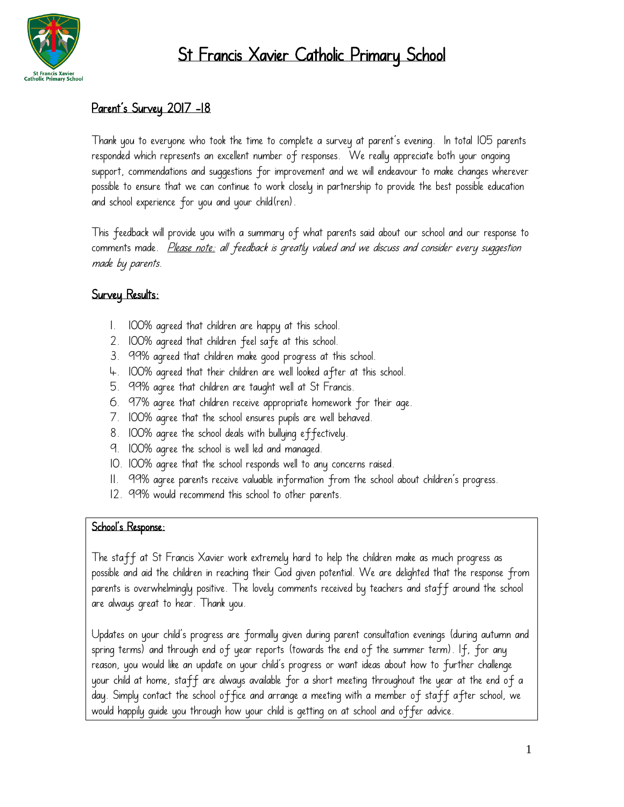

# St Francis Xavier Catholic Primary School

# Parent's Survey 2017 -18

Thank you to everyone who took the time to complete a survey at parent's evening. In total 105 parents responded which represents an excellent number of responses. We really appreciate both your ongoing support, commendations and suggestions for improvement and we will endeavour to make changes wherever possible to ensure that we can continue to work closely in partnership to provide the best possible education and school experience for you and your child(ren).

This feedback will provide you with a summary of what parents said about our school and our response to comments made. Please note: all feedback is greatly valued and we discuss and consider every suggestion made by parents.

# Survey Results:

- 1. 100% agreed that children are happy at this school.
- 2. 100% agreed that children feel safe at this school.
- 3. 99% agreed that children make good progress at this school.
- 4. 100% agreed that their children are well looked after at this school.
- 5. 99% agree that children are taught well at St Francis.
- 6. 97% agree that children receive appropriate homework for their age.
- 7. 100% agree that the school ensures pupils are well behaved.
- 8. 100% agree the school deals with bullying effectively.
- 9. 100% agree the school is well led and managed.
- 10. 100% agree that the school responds well to any concerns raised.
- 11. 99% agree parents receive valuable information from the school about children's progress.
- 12. 99% would recommend this school to other parents.

#### School's Response:

The staff at St Francis Xavier work extremely hard to help the children make as much progress as possible and aid the children in reaching their God given potential. We are delighted that the response from parents is overwhelmingly positive. The lovely comments received by teachers and staff around the school are always great to hear. Thank you.

Updates on your child's progress are formally given during parent consultation evenings (during autumn and spring terms) and through end of year reports (towards the end of the summer term). If, for any reason, you would like an update on your child's progress or want ideas about how to further challenge your child at home, staff are always available for a short meeting throughout the year at the end of a day. Simply contact the school office and arrange a meeting with a member of staff after school, we would happily guide you through how your child is getting on at school and offer advice.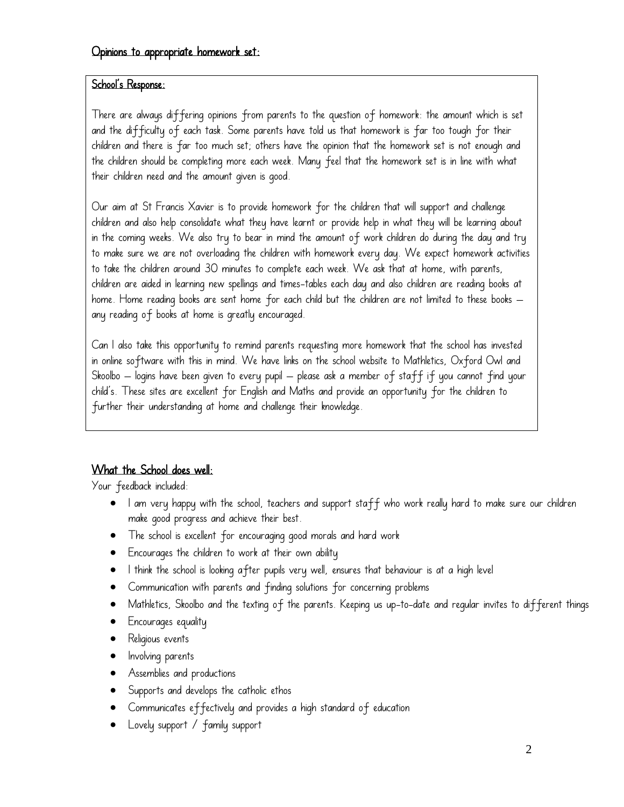#### School's Response:

There are always differing opinions from parents to the question of homework: the amount which is set and the difficulty of each task. Some parents have told us that homework is far too tough for their children and there is far too much set; others have the opinion that the homework set is not enough and the children should be completing more each week. Many feel that the homework set is in line with what their children need and the amount given is good.

Our aim at St Francis Xavier is to provide homework for the children that will support and challenge children and also help consolidate what they have learnt or provide help in what they will be learning about in the coming weeks. We also try to bear in mind the amount of work children do during the day and try to make sure we are not overloading the children with homework every day. We expect homework activities to take the children around 30 minutes to complete each week. We ask that at home, with parents, children are aided in learning new spellings and times-tables each day and also children are reading books at home. Home reading books are sent home for each child but the children are not limited to these books – any reading of books at home is greatly encouraged.

Can I also take this opportunity to remind parents requesting more homework that the school has invested in online software with this in mind. We have links on the school website to Mathletics, Oxford Owl and Skoolbo – logins have been given to every pupil – please ask a member of staff if you cannot find your child's. These sites are excellent for English and Maths and provide an opportunity for the children to further their understanding at home and challenge their knowledge.

# What the School does well:

Your feedback included:

- I am very happy with the school, teachers and support staff who work really hard to make sure our children make good progress and achieve their best.
- The school is excellent for encouraging good morals and hard work
- Encourages the children to work at their own ability
- I think the school is looking after pupils very well, ensures that behaviour is at a high level
- Communication with parents and finding solutions for concerning problems
- Mathletics, Skoolbo and the texting of the parents. Keeping us up-to-date and regular invites to different things
- Encourages equality
- Religious events
- Involving parents
- Assemblies and productions
- Supports and develops the catholic ethos
- Communicates effectively and provides a high standard of education
- Lovely support / family support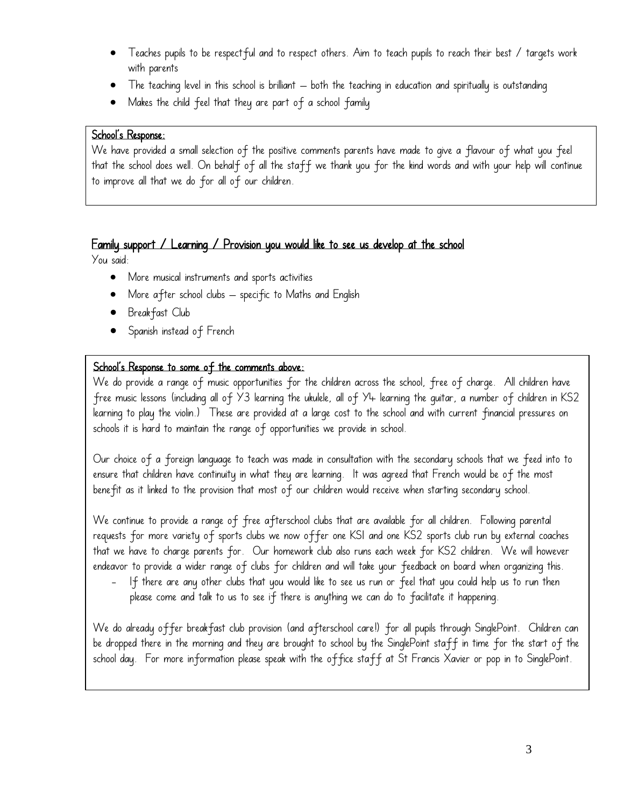- Teaches pupils to be respectful and to respect others. Aim to teach pupils to reach their best / targets work with parents
- The teaching level in this school is brilliant both the teaching in education and spiritually is outstanding
- Makes the child feel that they are part of a school family

#### School's Response:

We have provided a small selection of the positive comments parents have made to give a flavour of what you feel that the school does well. On behalf of all the staff we thank you for the kind words and with your help will continue to improve all that we do for all of our children.

### Family support / Learning / Provision you would like to see us develop at the school

You said:

- More musical instruments and sports activities
- More after school clubs specific to Maths and English
- Breakfast Club
- Spanish instead of French

### School's Response to some of the comments above:

We do provide a range of music opportunities for the children across the school, free of charge. All children have free music lessons (including all of Y3 learning the ukulele, all of Y4 learning the guitar, a number of children in KS2 learning to play the violin.) These are provided at a large cost to the school and with current financial pressures on schools it is hard to maintain the range of opportunities we provide in school.

Our choice of a foreign language to teach was made in consultation with the secondary schools that we feed into to ensure that children have continuity in what they are learning. It was agreed that French would be of the most benefit as it linked to the provision that most of our children would receive when starting secondary school.

We continue to provide a range of free afterschool clubs that are available for all children. Following parental requests for more variety of sports clubs we now offer one KS1 and one KS2 sports club run by external coaches that we have to charge parents for. Our homework club also runs each week for KS2 children. We will however endeavor to provide a wider range of clubs for children and will take your feedback on board when organizing this.

- If there are any other clubs that you would like to see us run or feel that you could help us to run then please come and talk to us to see if there is anything we can do to facilitate it happening.

We do already offer breakfast club provision (and afterschool care!) for all pupils through SinglePoint. Children can be dropped there in the morning and they are brought to school by the SinglePoint staff in time for the start of the school day. For more information please speak with the office staff at St Francis Xavier or pop in to SinglePoint.